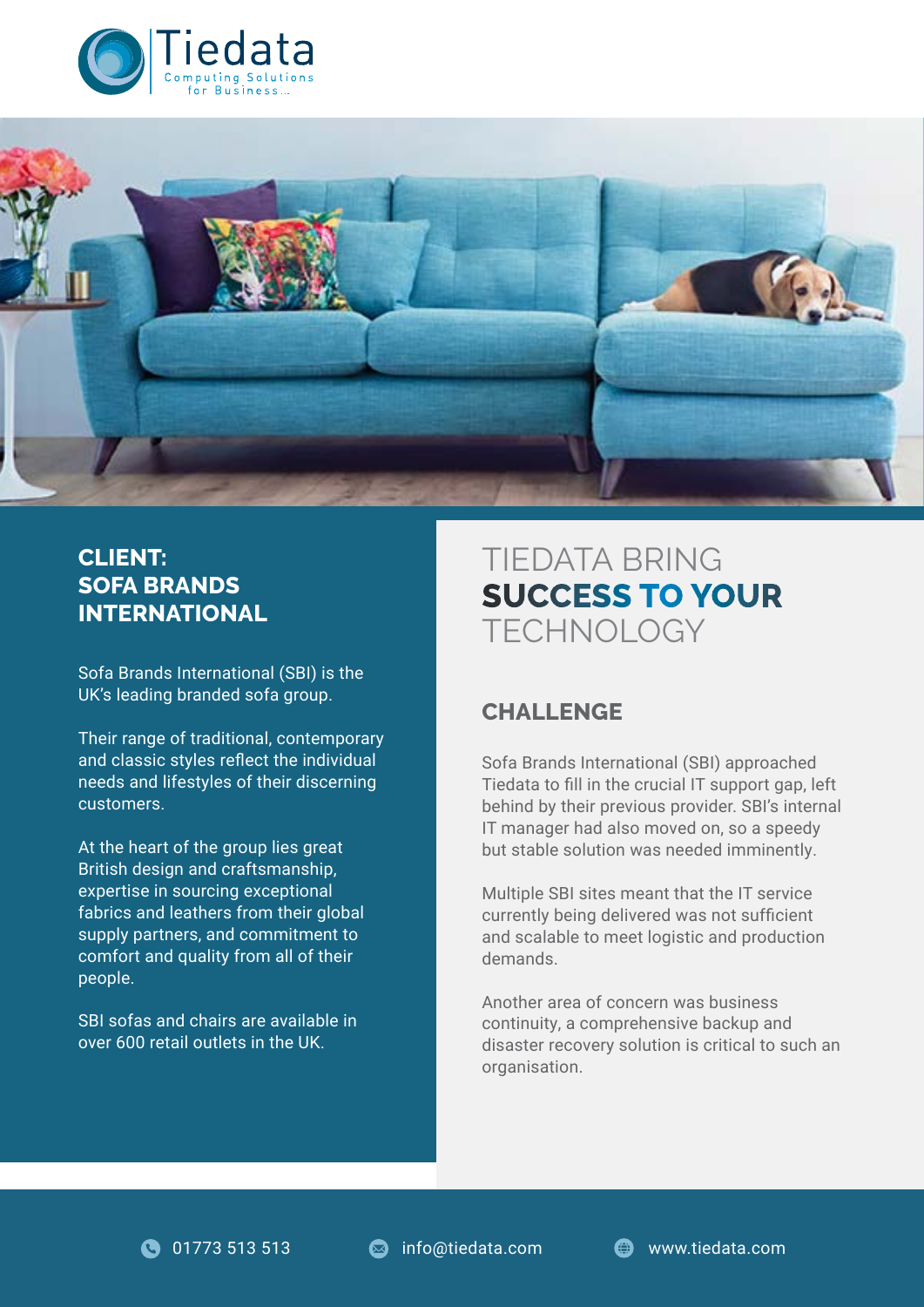



## **CLIENT: SOFA BRANDS INTERNATIONAL**

Sofa Brands International (SBI) is the UK's leading branded sofa group.

Their range of traditional, contemporary and classic styles reflect the individual needs and lifestyles of their discerning customers.

At the heart of the group lies great British design and craftsmanship, expertise in sourcing exceptional fabrics and leathers from their global supply partners, and commitment to comfort and quality from all of their people.

SBI sofas and chairs are available in over 600 retail outlets in the UK.

# TIEDATA BRING **SUCCESS TO YOUR TECHNOLOGY**

## **CHALLENGE**

Sofa Brands International (SBI) approached Tiedata to fill in the crucial IT support gap, left behind by their previous provider. SBI's internal IT manager had also moved on, so a speedy but stable solution was needed imminently.

Multiple SBI sites meant that the IT service currently being delivered was not sufficient and scalable to meet logistic and production demands.

Another area of concern was business continuity, a comprehensive backup and disaster recovery solution is critical to such an organisation.

**11773 513 513 COM** info@tiedata.com **COM** www.tiedata.com